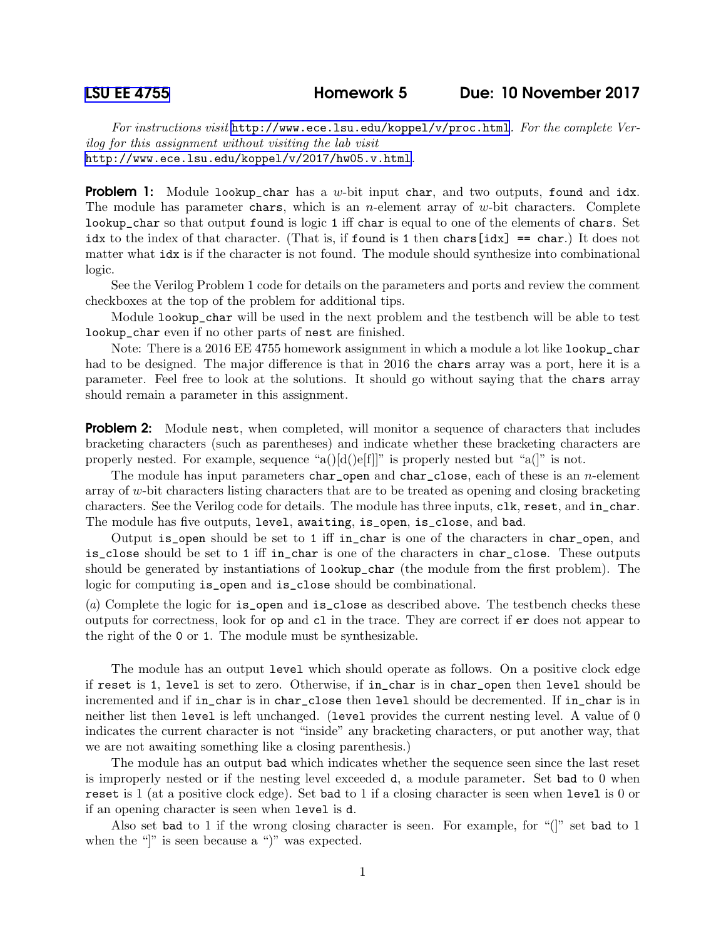For instructions visit <http://www.ece.lsu.edu/koppel/v/proc.html>. For the complete Verilog for this assignment without visiting the lab visit <http://www.ece.lsu.edu/koppel/v/2017/hw05.v.html>.

**Problem 1:** Module lookup\_char has a w-bit input char, and two outputs, found and idx. The module has parameter chars, which is an *n*-element array of  $w$ -bit characters. Complete lookup\_char so that output found is logic 1 iff char is equal to one of the elements of chars. Set idx to the index of that character. (That is, if found is 1 then chars  $[idx] = -\text{char.}$ ) It does not matter what idx is if the character is not found. The module should synthesize into combinational logic.

See the Verilog Problem 1 code for details on the parameters and ports and review the comment checkboxes at the top of the problem for additional tips.

Module lookup\_char will be used in the next problem and the testbench will be able to test lookup\_char even if no other parts of nest are finished.

Note: There is a 2016 EE 4755 homework assignment in which a module a lot like lookup\_char had to be designed. The major difference is that in 2016 the chars array was a port, here it is a parameter. Feel free to look at the solutions. It should go without saying that the chars array should remain a parameter in this assignment.

**Problem 2:** Module nest, when completed, will monitor a sequence of characters that includes bracketing characters (such as parentheses) and indicate whether these bracketing characters are properly nested. For example, sequence "a()[d()e[f]]" is properly nested but "a(]" is not.

The module has input parameters char\_open and char\_close, each of these is an *n*-element array of w-bit characters listing characters that are to be treated as opening and closing bracketing characters. See the Verilog code for details. The module has three inputs, clk, reset, and in\_char. The module has five outputs, level, awaiting, is\_open, is\_close, and bad.

Output is\_open should be set to 1 iff in\_char is one of the characters in char\_open, and is\_close should be set to 1 iff in\_char is one of the characters in char\_close. These outputs should be generated by instantiations of lookup\_char (the module from the first problem). The logic for computing is\_open and is\_close should be combinational.

(a) Complete the logic for is\_open and is\_close as described above. The testbench checks these outputs for correctness, look for op and cl in the trace. They are correct if er does not appear to the right of the 0 or 1. The module must be synthesizable.

The module has an output level which should operate as follows. On a positive clock edge if reset is 1, level is set to zero. Otherwise, if in\_char is in char\_open then level should be incremented and if in\_char is in char\_close then level should be decremented. If in\_char is in neither list then level is left unchanged. (level provides the current nesting level. A value of 0 indicates the current character is not "inside" any bracketing characters, or put another way, that we are not awaiting something like a closing parenthesis.)

The module has an output bad which indicates whether the sequence seen since the last reset is improperly nested or if the nesting level exceeded d, a module parameter. Set bad to 0 when reset is 1 (at a positive clock edge). Set bad to 1 if a closing character is seen when level is 0 or if an opening character is seen when level is d.

Also set bad to 1 if the wrong closing character is seen. For example, for "(]" set bad to 1 when the "|" is seen because a ")" was expected.